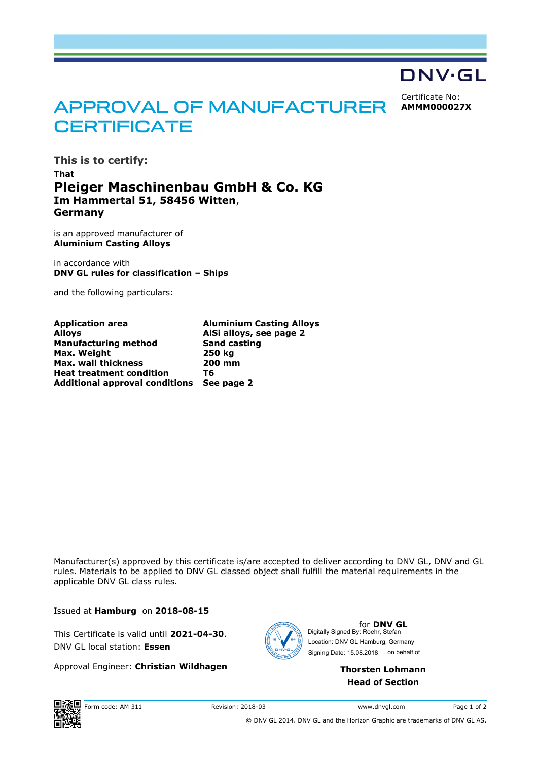

Certificate No: **AMMM000027X**

## APPROVAL OF MANUFACTURER **CERTIFICATE**

**This is to certify:**

## **That Pleiger Maschinenbau GmbH & Co. KG Im Hammertal 51, 58456 Witten**, **Germany**

is an approved manufacturer of **Aluminium Casting Alloys**

in accordance with **DNV GL rules for classification – Ships**

and the following particulars:

| <b>Application area</b>                   | <b>Aluminium Casting Alloys</b> |
|-------------------------------------------|---------------------------------|
| <b>Alloys</b>                             | AlSi alloys, see page 2         |
| <b>Manufacturing method</b>               | <b>Sand casting</b>             |
| Max. Weight                               | 250 kg                          |
| <b>Max. wall thickness</b>                | 200 mm                          |
| <b>Heat treatment condition</b>           | Тб                              |
| Additional approval conditions See page 2 |                                 |
|                                           |                                 |

Manufacturer(s) approved by this certificate is/are accepted to deliver according to DNV GL, DNV and GL rules. Materials to be applied to DNV GL classed object shall fulfill the material requirements in the applicable DNV GL class rules.

Issued at **Hamburg** on **2018-08-15**

This Certificate is valid until **2021-04-30**. DNV GL local station: **Essen**

Approval Engineer: **Christian Wildhagen**



for **DNV GL** Signing Date: 15.08.2018 , on behalf ofDigitally Signed By: Roehr, Stefan Location: DNV GL Hamburg, Germany

> **Thorsten Lohmann Head of Section**



© DNV GL 2014. DNV GL and the Horizon Graphic are trademarks of DNV GL AS.